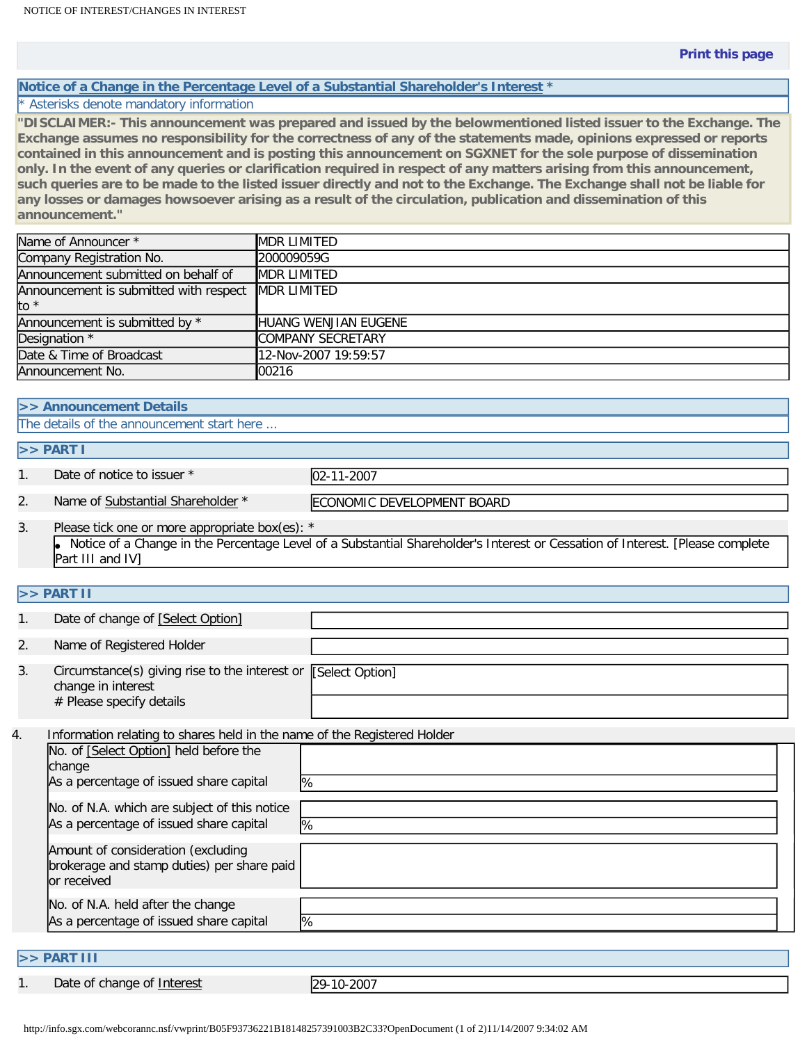## **Notice of a Change in the Percentage Level of a Substantial Shareholder's Interest \***

## \* Asterisks denote mandatory information

**"DISCLAIMER:- This announcement was prepared and issued by the belowmentioned listed issuer to the Exchange. The Exchange assumes no responsibility for the correctness of any of the statements made, opinions expressed or reports contained in this announcement and is posting this announcement on SGXNET for the sole purpose of dissemination only. In the event of any queries or clarification required in respect of any matters arising from this announcement, such queries are to be made to the listed issuer directly and not to the Exchange. The Exchange shall not be liable for any losses or damages howsoever arising as a result of the circulation, publication and dissemination of this announcement."** 

| Name of Announcer *                                | <b>MDR LIMITED</b>   |
|----------------------------------------------------|----------------------|
| Company Registration No.                           | 200009059G           |
| Announcement submitted on behalf of                | <b>MDR LIMITED</b>   |
| Announcement is submitted with respect MDR LIMITED |                      |
| to *                                               |                      |
| Announcement is submitted by *                     | HUANG WENJIAN EUGENE |
| Designation *                                      | COMPANY SECRETARY    |
| Date & Time of Broadcast                           | 12-Nov-2007 19:59:57 |
| Announcement No.                                   | 100216               |

#### **>> Announcement Details**

The details of the announcement start here ...

### **>> PART I**

1. Date of notice to issuer \* 02-11-2007

2. Name of Substantial Shareholder \* ECONOMIC DEVELOPMENT BOARD

3. Please tick one or more appropriate box(es): \* ● Notice of a Change in the Percentage Level of a Substantial Shareholder's Interest or Cessation of Interest. [Please complete Part III and IV]

## **>> PART II**

|    | Date of change of [Select Option]                                                                                |  |
|----|------------------------------------------------------------------------------------------------------------------|--|
| 2. | Name of Registered Holder                                                                                        |  |
| 3. | Circumstance(s) giving rise to the interest or [Select Option]<br>change in interest<br># Please specify details |  |

4. Information relating to shares held in the name of the Registered Holder No. of [Select Option] held before the change As a percentage of issued share capital  $\%$ No. of N.A. which are subject of this notice As a percentage of issued share capital  $\sqrt{2}$ Amount of consideration (excluding brokerage and stamp duties) per share paid or received No. of N.A. held after the change As a percentage of issued share capital  $\sqrt{2}$ 

### **>> PART III**

1. Date of change of Interest 29-10-2007